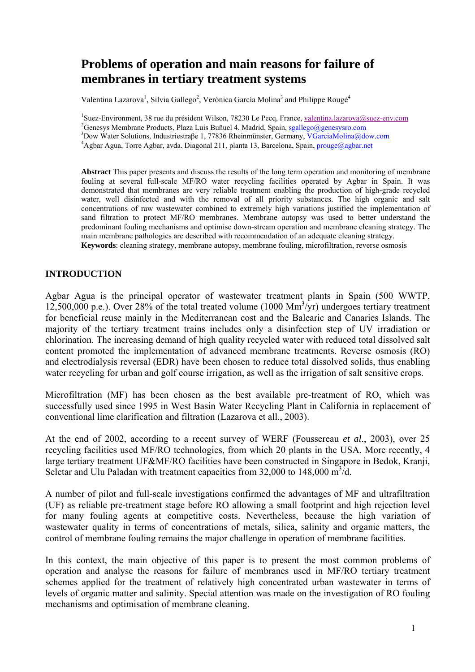# **Problems of operation and main reasons for failure of membranes in tertiary treatment systems**

Valentina Lazarova<sup>1</sup>, Silvia Gallego<sup>2</sup>, Verónica García Molina<sup>3</sup> and Philippe Rougé<sup>4</sup>

<sup>1</sup>Suez-Environment, 38 rue du président Wilson, 78230 Le Pecq, France, <u>valentina.lazarova@suez-env.com</u><br><sup>2</sup>Canagua Mambrona Producta Place Luis Puñvol 4. Madrid, Spain, socillage@programa com <sup>2</sup>Genesys Membrane Products, Plaza Luis Buñuel 4, Madrid, Spain, sgallego@genesysro.com <sup>3</sup>Dow Water Solutions, Industriestraße 1, 77836 Rheinmünster, Germany, VGarciaMolina@dow.com <sup>4</sup> Agbar Agua, Torre Agbar, avda. Diagonal 211, planta 13, Barcelona, Spain, prouge@agbar.net

**Abstract** This paper presents and discuss the results of the long term operation and monitoring of membrane fouling at several full-scale MF/RO water recycling facilities operated by Agbar in Spain. It was demonstrated that membranes are very reliable treatment enabling the production of high-grade recycled water, well disinfected and with the removal of all priority substances. The high organic and salt concentrations of raw wastewater combined to extremely high variations justified the implementation of sand filtration to protect MF/RO membranes. Membrane autopsy was used to better understand the predominant fouling mechanisms and optimise down-stream operation and membrane cleaning strategy. The main membrane pathologies are described with recommendation of an adequate cleaning strategy. **Keywords**: cleaning strategy, membrane autopsy, membrane fouling, microfiltration, reverse osmosis

# **INTRODUCTION**

Agbar Agua is the principal operator of wastewater treatment plants in Spain (500 WWTP, 12,500,000 p.e.). Over 28% of the total treated volume (1000 Mm<sup>3</sup>/yr) undergoes tertiary treatment for beneficial reuse mainly in the Mediterranean cost and the Balearic and Canaries Islands. The majority of the tertiary treatment trains includes only a disinfection step of UV irradiation or chlorination. The increasing demand of high quality recycled water with reduced total dissolved salt content promoted the implementation of advanced membrane treatments. Reverse osmosis (RO) and electrodialysis reversal (EDR) have been chosen to reduce total dissolved solids, thus enabling water recycling for urban and golf course irrigation, as well as the irrigation of salt sensitive crops.

Microfiltration (MF) has been chosen as the best available pre-treatment of RO, which was successfully used since 1995 in West Basin Water Recycling Plant in California in replacement of conventional lime clarification and filtration (Lazarova et all., 2003).

At the end of 2002, according to a recent survey of WERF (Foussereau *et al*., 2003), over 25 recycling facilities used MF/RO technologies, from which 20 plants in the USA. More recently, 4 large tertiary treatment UF&MF/RO facilities have been constructed in Singapore in Bedok, Kranji, Seletar and Ulu Paladan with treatment capacities from 32,000 to  $148,000 \text{ m}^3/\text{d}$ .

A number of pilot and full-scale investigations confirmed the advantages of MF and ultrafiltration (UF) as reliable pre-treatment stage before RO allowing a small footprint and high rejection level for many fouling agents at competitive costs. Nevertheless, because the high variation of wastewater quality in terms of concentrations of metals, silica, salinity and organic matters, the control of membrane fouling remains the major challenge in operation of membrane facilities.

In this context, the main objective of this paper is to present the most common problems of operation and analyse the reasons for failure of membranes used in MF/RO tertiary treatment schemes applied for the treatment of relatively high concentrated urban wastewater in terms of levels of organic matter and salinity. Special attention was made on the investigation of RO fouling mechanisms and optimisation of membrane cleaning.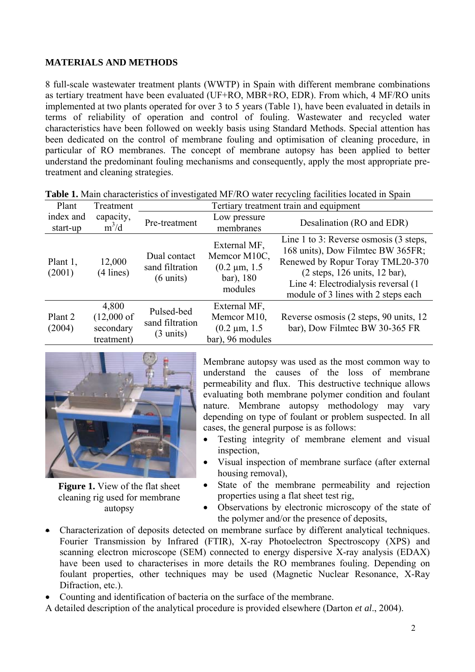# **MATERIALS AND METHODS**

8 full-scale wastewater treatment plants (WWTP) in Spain with different membrane combinations as tertiary treatment have been evaluated (UF+RO, MBR+RO, EDR). From which, 4 MF/RO units implemented at two plants operated for over 3 to 5 years (Table 1), have been evaluated in details in terms of reliability of operation and control of fouling. Wastewater and recycled water characteristics have been followed on weekly basis using Standard Methods. Special attention has been dedicated on the control of membrane fouling and optimisation of cleaning procedure, in particular of RO membranes. The concept of membrane autopsy has been applied to better understand the predominant fouling mechanisms and consequently, apply the most appropriate pretreatment and cleaning strategies.

| Plant                 | Treatment                                                 | Tertiary treatment train and equipment                 |                                                                            |                                                                                                                                                                                                                                           |  |
|-----------------------|-----------------------------------------------------------|--------------------------------------------------------|----------------------------------------------------------------------------|-------------------------------------------------------------------------------------------------------------------------------------------------------------------------------------------------------------------------------------------|--|
| index and<br>start-up | capacity,<br>$m^3/d$                                      | Pre-treatment                                          | Low pressure<br>membranes                                                  | Desalination (RO and EDR)                                                                                                                                                                                                                 |  |
| Plant 1,<br>(2001)    | 12,000<br>$(4$ lines)                                     | Dual contact<br>sand filtration<br>$(6 \text{ units})$ | External MF,<br>Memcor M10C,<br>$(0.2 \mu m, 1.5)$<br>bar), 180<br>modules | Line 1 to 3: Reverse osmosis $(3 \text{ steps},$<br>168 units), Dow Filmtec BW 365FR;<br>Renewed by Ropur Toray TML20-370<br>(2 steps, 126 units, 12 bar),<br>Line 4: Electrodialysis reversal (1)<br>module of 3 lines with 2 steps each |  |
| Plant 2<br>(2004)     | 4,800<br>$(12,000 \text{ of }$<br>secondary<br>treatment) | Pulsed-bed<br>sand filtration<br>$(3 \text{ units})$   | External MF,<br>Memcor M10,<br>$(0.2 \mu m, 1.5)$<br>bar), 96 modules      | Reverse osmosis (2 steps, 90 units, 12<br>bar), Dow Filmtec BW 30-365 FR                                                                                                                                                                  |  |

|  |  |  |  | Table 1. Main characteristics of investigated MF/RO water recycling facilities located in Spain |  |
|--|--|--|--|-------------------------------------------------------------------------------------------------|--|
|--|--|--|--|-------------------------------------------------------------------------------------------------|--|



**Figure 1.** View of the flat sheet cleaning rig used for membrane autopsy

Membrane autopsy was used as the most common way to understand the causes of the loss of membrane permeability and flux. This destructive technique allows evaluating both membrane polymer condition and foulant nature. Membrane autopsy methodology may vary depending on type of foulant or problem suspected. In all cases, the general purpose is as follows:

- Testing integrity of membrane element and visual inspection,
- Visual inspection of membrane surface (after external housing removal),
- State of the membrane permeability and rejection properties using a flat sheet test rig,
- Observations by electronic microscopy of the state of the polymer and/or the presence of deposits,
- Characterization of deposits detected on membrane surface by different analytical techniques. Fourier Transmission by Infrared (FTIR), X-ray Photoelectron Spectroscopy (XPS) and scanning electron microscope (SEM) connected to energy dispersive X-ray analysis (EDAX) have been used to characterises in more details the RO membranes fouling. Depending on foulant properties, other techniques may be used (Magnetic Nuclear Resonance, X-Ray Difraction, etc.).
- Counting and identification of bacteria on the surface of the membrane.
- A detailed description of the analytical procedure is provided elsewhere (Darton *et al*., 2004).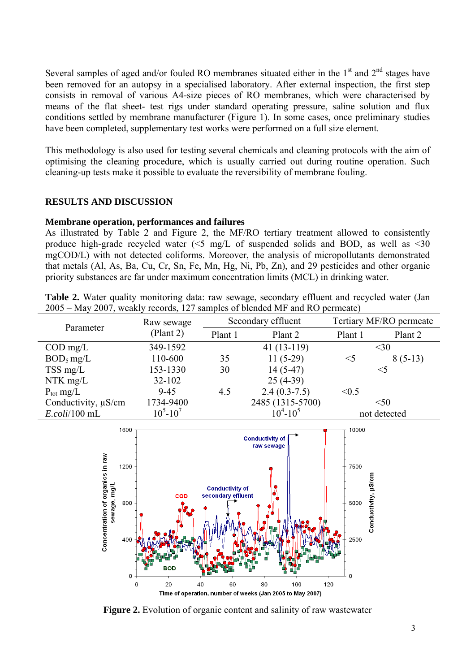Several samples of aged and/or fouled RO membranes situated either in the  $1<sup>st</sup>$  and  $2<sup>nd</sup>$  stages have been removed for an autopsy in a specialised laboratory. After external inspection, the first step consists in removal of various A4-size pieces of RO membranes, which were characterised by means of the flat sheet- test rigs under standard operating pressure, saline solution and flux conditions settled by membrane manufacturer (Figure 1). In some cases, once preliminary studies have been completed, supplementary test works were performed on a full size element.

This methodology is also used for testing several chemicals and cleaning protocols with the aim of optimising the cleaning procedure, which is usually carried out during routine operation. Such cleaning-up tests make it possible to evaluate the reversibility of membrane fouling.

## **RESULTS AND DISCUSSION**

#### **Membrane operation, performances and failures**

As illustrated by Table 2 and Figure 2, the MF/RO tertiary treatment allowed to consistently produce high-grade recycled water  $\leq 5$  mg/L of suspended solids and BOD, as well as  $\leq 30$ mgCOD/L) with not detected coliforms. Moreover, the analysis of micropollutants demonstrated that metals (Al, As, Ba, Cu, Cr, Sn, Fe, Mn, Hg, Ni, Pb, Zn), and 29 pesticides and other organic priority substances are far under maximum concentration limits (MCL) in drinking water.

|  | <b>Table 2.</b> Water quality monitoring data: raw sewage, secondary effluent and recycled water (Jan |  |  |  |  |
|--|-------------------------------------------------------------------------------------------------------|--|--|--|--|
|  | 2005 – May 2007, weakly records, 127 samples of blended MF and RO permeate)                           |  |  |  |  |

| Parameter                 | Raw sewage<br>(Plant 2) | Secondary effluent |                  | Tertiary MF/RO permeate |           |  |
|---------------------------|-------------------------|--------------------|------------------|-------------------------|-----------|--|
|                           |                         | Plant 1            | Plant 2          | Plant 1                 | Plant 2   |  |
| $\text{COD} \text{ mg/L}$ | 349-1592                |                    | $41(13-119)$     |                         | $30$      |  |
| $BOD5$ mg/L               | 110-600                 | 35                 | $11(5-29)$       | $\leq$ 5                | $8(5-13)$ |  |
| $TSS$ mg/L                | 153-1330                | 30                 | $14(5-47)$       | $<$ 5                   |           |  |
| $NTK$ mg/L                | 32-102                  |                    | $25(4-39)$       |                         |           |  |
| $P_{\text{tot}}$ mg/L     | $9 - 45$                | 4.5                | $2.4(0.3-7.5)$   | < 0.5                   |           |  |
| Conductivity, $\mu$ S/cm  | 1734-9400               |                    | 2485 (1315-5700) | < 50<br>not detected    |           |  |
| $E.$ <i>coli</i> /100 mL  | $10^5 - 10^7$           |                    | $10^4 - 10^5$    |                         |           |  |



**Figure 2.** Evolution of organic content and salinity of raw wastewater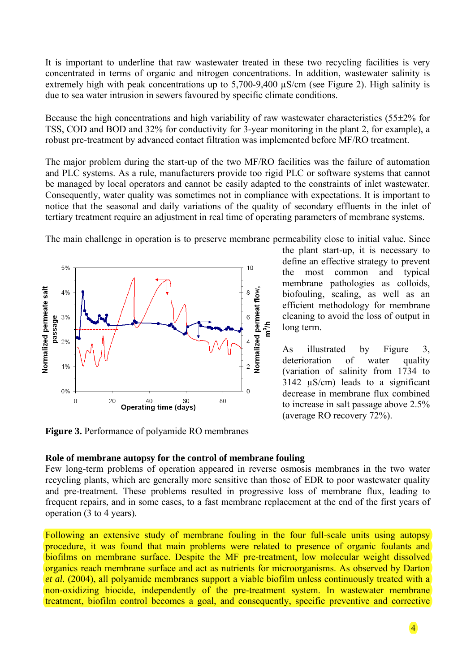It is important to underline that raw wastewater treated in these two recycling facilities is very concentrated in terms of organic and nitrogen concentrations. In addition, wastewater salinity is extremely high with peak concentrations up to 5,700-9,400 µS/cm (see Figure 2). High salinity is due to sea water intrusion in sewers favoured by specific climate conditions.

Because the high concentrations and high variability of raw wastewater characteristics (55±2% for TSS, COD and BOD and 32% for conductivity for 3-year monitoring in the plant 2, for example), a robust pre-treatment by advanced contact filtration was implemented before MF/RO treatment.

The major problem during the start-up of the two MF/RO facilities was the failure of automation and PLC systems. As a rule, manufacturers provide too rigid PLC or software systems that cannot be managed by local operators and cannot be easily adapted to the constraints of inlet wastewater. Consequently, water quality was sometimes not in compliance with expectations. It is important to notice that the seasonal and daily variations of the quality of secondary effluents in the inlet of tertiary treatment require an adjustment in real time of operating parameters of membrane systems.

The main challenge in operation is to preserve membrane permeability close to initial value. Since



**Figure 3.** Performance of polyamide RO membranes

the plant start-up, it is necessary to define an effective strategy to prevent the most common and typical membrane pathologies as colloids, biofouling, scaling, as well as an efficient methodology for membrane cleaning to avoid the loss of output in long term.

As illustrated by Figure 3, deterioration of water quality (variation of salinity from 1734 to  $3142 \text{ }\mu\text{S/cm}$  leads to a significant decrease in membrane flux combined to increase in salt passage above 2.5% (average RO recovery 72%).

## **Role of membrane autopsy for the control of membrane fouling**

Few long-term problems of operation appeared in reverse osmosis membranes in the two water recycling plants, which are generally more sensitive than those of EDR to poor wastewater quality and pre-treatment. These problems resulted in progressive loss of membrane flux, leading to frequent repairs, and in some cases, to a fast membrane replacement at the end of the first years of operation (3 to 4 years).

Following an extensive study of membrane fouling in the four full-scale units using autopsy procedure, it was found that main problems were related to presence of organic foulants and biofilms on membrane surface. Despite the MF pre-treatment, low molecular weight dissolved organics reach membrane surface and act as nutrients for microorganisms. As observed by Darton *et al.* (2004), all polyamide membranes support a viable biofilm unless continuously treated with a non-oxidizing biocide, independently of the pre-treatment system. In wastewater membrane treatment, biofilm control becomes a goal, and consequently, specific preventive and corrective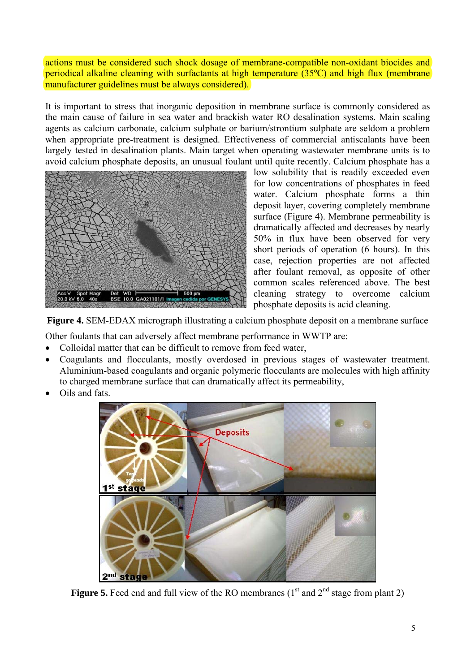actions must be considered such shock dosage of membrane-compatible non-oxidant biocides and periodical alkaline cleaning with surfactants at high temperature (35ºC) and high flux (membrane manufacturer guidelines must be always considered).

It is important to stress that inorganic deposition in membrane surface is commonly considered as the main cause of failure in sea water and brackish water RO desalination systems. Main scaling agents as calcium carbonate, calcium sulphate or barium/strontium sulphate are seldom a problem when appropriate pre-treatment is designed. Effectiveness of commercial antiscalants have been largely tested in desalination plants. Main target when operating wastewater membrane units is to avoid calcium phosphate deposits, an unusual foulant until quite recently. Calcium phosphate has a



low solubility that is readily exceeded even for low concentrations of phosphates in feed water. Calcium phosphate forms a thin deposit layer, covering completely membrane surface (Figure 4). Membrane permeability is dramatically affected and decreases by nearly 50% in flux have been observed for very short periods of operation (6 hours). In this case, rejection properties are not affected after foulant removal, as opposite of other common scales referenced above. The best cleaning strategy to overcome calcium phosphate deposits is acid cleaning.

**Figure 4.** SEM-EDAX micrograph illustrating a calcium phosphate deposit on a membrane surface

Other foulants that can adversely affect membrane performance in WWTP are:

- Colloidal matter that can be difficult to remove from feed water,
- Coagulants and flocculants, mostly overdosed in previous stages of wastewater treatment. Aluminium-based coagulants and organic polymeric flocculants are molecules with high affinity to charged membrane surface that can dramatically affect its permeability,
- Oils and fats.



**Figure 5.** Feed end and full view of the RO membranes  $(1<sup>st</sup>$  and  $2<sup>nd</sup>$  stage from plant 2)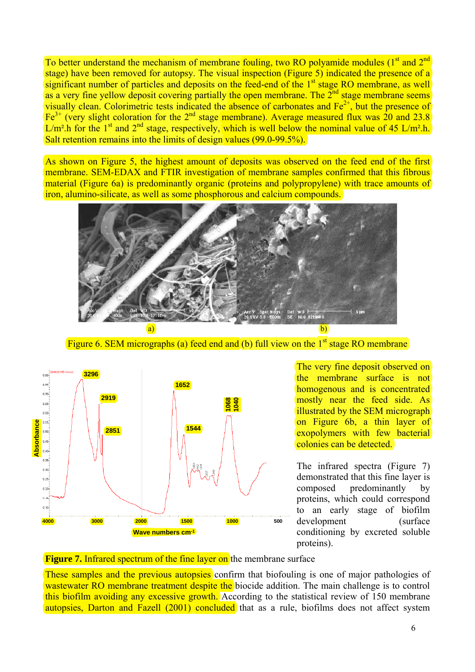To better understand the mechanism of membrane fouling, two RO polyamide modules  $(1<sup>st</sup>$  and  $2<sup>nd</sup>$ stage) have been removed for autopsy. The visual inspection (Figure 5) indicated the presence of a significant number of particles and deposits on the feed-end of the  $1<sup>st</sup>$  stage RO membrane, as well as a very fine yellow deposit covering partially the open membrane. The  $2^{nd}$  stage membrane seems visually clean. Colorimetric tests indicated the absence of carbonates and  $Fe<sup>2+</sup>$ , but the presence of  $\text{Fe}^{3+}$  (very slight coloration for the 2<sup>nd</sup> stage membrane). Average measured flux was 20 and 23.8  $L/m^2$ .h for the 1<sup>st</sup> and  $2<sup>nd</sup>$  stage, respectively, which is well below the nominal value of 45 L/m<sup>2</sup>.h. Salt retention remains into the limits of design values (99.0-99.5%).

As shown on Figure 5, the highest amount of deposits was observed on the feed end of the first membrane. SEM-EDAX and FTIR investigation of membrane samples confirmed that this fibrous material (Figure 6a) is predominantly organic (proteins and polypropylene) with trace amounts of iron, alumino-silicate, as well as some phosphorous and calcium compounds.



Figure 6. SEM micrographs (a) feed end and (b) full view on the  $1<sup>st</sup>$  stage RO membrane



The very fine deposit observed on the membrane surface is not homogenous and is concentrated mostly near the feed side. As illustrated by the SEM micrograph on Figure 6b, a thin layer of exopolymers with few bacterial colonies can be detected.

The infrared spectra (Figure 7) demonstrated that this fine layer is composed predominantly by proteins, which could correspond to an early stage of biofilm development (surface conditioning by excreted soluble proteins).

**Figure 7.** Infrared spectrum of the fine layer on the membrane surface

These samples and the previous autopsies confirm that biofouling is one of major pathologies of wastewater RO membrane treatment despite the biocide addition. The main challenge is to control this biofilm avoiding any excessive growth. According to the statistical review of 150 membrane autopsies, Darton and Fazell  $(2001)$  concluded that as a rule, biofilms does not affect system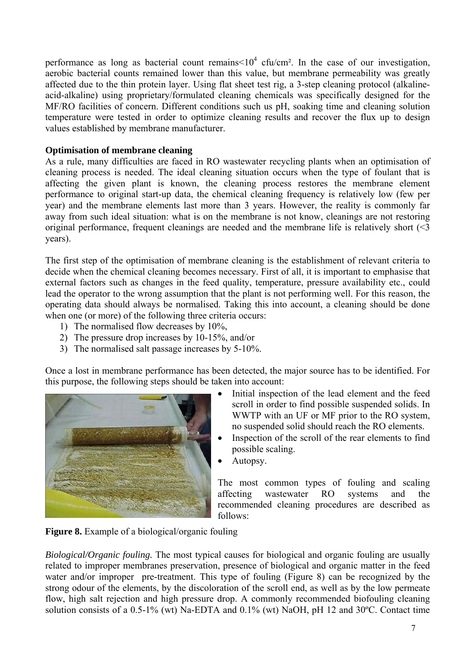performance as long as bacterial count remains  $\times 10^4$  cfu/cm<sup>2</sup>. In the case of our investigation, aerobic bacterial counts remained lower than this value, but membrane permeability was greatly affected due to the thin protein layer. Using flat sheet test rig, a 3-step cleaning protocol (alkalineacid-alkaline) using proprietary/formulated cleaning chemicals was specifically designed for the MF/RO facilities of concern. Different conditions such us pH, soaking time and cleaning solution temperature were tested in order to optimize cleaning results and recover the flux up to design values established by membrane manufacturer.

# **Optimisation of membrane cleaning**

As a rule, many difficulties are faced in RO wastewater recycling plants when an optimisation of cleaning process is needed. The ideal cleaning situation occurs when the type of foulant that is affecting the given plant is known, the cleaning process restores the membrane element performance to original start-up data, the chemical cleaning frequency is relatively low (few per year) and the membrane elements last more than 3 years. However, the reality is commonly far away from such ideal situation: what is on the membrane is not know, cleanings are not restoring original performance, frequent cleanings are needed and the membrane life is relatively short (<3 years).

The first step of the optimisation of membrane cleaning is the establishment of relevant criteria to decide when the chemical cleaning becomes necessary. First of all, it is important to emphasise that external factors such as changes in the feed quality, temperature, pressure availability etc., could lead the operator to the wrong assumption that the plant is not performing well. For this reason, the operating data should always be normalised. Taking this into account, a cleaning should be done when one (or more) of the following three criteria occurs:

- 1) The normalised flow decreases by 10%,
- 2) The pressure drop increases by 10-15%, and/or
- 3) The normalised salt passage increases by 5-10%.

Once a lost in membrane performance has been detected, the major source has to be identified. For this purpose, the following steps should be taken into account:



- Initial inspection of the lead element and the feed scroll in order to find possible suspended solids. In WWTP with an UF or MF prior to the RO system, no suspended solid should reach the RO elements.
- Inspection of the scroll of the rear elements to find possible scaling.
- Autopsy.

The most common types of fouling and scaling affecting wastewater RO systems and the recommended cleaning procedures are described as follows:

**Figure 8.** Example of a biological/organic fouling

*Biological/Organic fouling.* The most typical causes for biological and organic fouling are usually related to improper membranes preservation, presence of biological and organic matter in the feed water and/or improper pre-treatment. This type of fouling (Figure 8) can be recognized by the strong odour of the elements, by the discoloration of the scroll end, as well as by the low permeate flow, high salt rejection and high pressure drop. A commonly recommended biofouling cleaning solution consists of a 0.5-1% (wt) Na-EDTA and 0.1% (wt) NaOH, pH 12 and 30ºC. Contact time